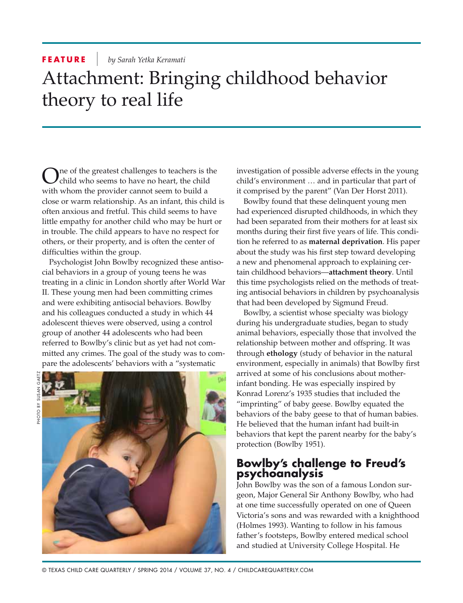**f e a t u r e** *by Sarah Yetka Keramati*

# Attachment: Bringing childhood behavior theory to real life

The of the greatest challenges to teachers is the child who seems to have no heart, the child with whom the provider cannot seem to build a close or warm relationship. As an infant, this child is often anxious and fretful. This child seems to have little empathy for another child who may be hurt or in trouble. The child appears to have no respect for others, or their property, and is often the center of difficulties within the group.

Psychologist John Bowlby recognized these antisocial behaviors in a group of young teens he was treating in a clinic in London shortly after World War II. These young men had been committing crimes and were exhibiting antisocial behaviors. Bowlby and his colleagues conducted a study in which 44 adolescent thieves were observed, using a control group of another 44 adolescents who had been referred to Bowlby's clinic but as yet had not committed any crimes. The goal of the study was to compare the adolescents' behaviors with a "systematic



investigation of possible adverse effects in the young child's environment … and in particular that part of it comprised by the parent" (Van Der Horst 2011).

Bowlby found that these delinquent young men had experienced disrupted childhoods, in which they had been separated from their mothers for at least six months during their first five years of life. This condition he referred to as **maternal deprivation**. His paper about the study was his first step toward developing a new and phenomenal approach to explaining certain childhood behaviors—**attachment theory**. Until this time psychologists relied on the methods of treating antisocial behaviors in children by psychoanalysis that had been developed by Sigmund Freud.

Bowlby, a scientist whose specialty was biology during his undergraduate studies, began to study animal behaviors, especially those that involved the relationship between mother and offspring. It was through **ethology** (study of behavior in the natural environment, especially in animals) that Bowlby first arrived at some of his conclusions about motherinfant bonding. He was especially inspired by Konrad Lorenz's 1935 studies that included the "imprinting" of baby geese. Bowlby equated the behaviors of the baby geese to that of human babies. He believed that the human infant had built-in behaviors that kept the parent nearby for the baby's protection (Bowlby 1951).

#### **Bowlby's challenge to Freud's psychoanalysis**

John Bowlby was the son of a famous London surgeon, Major General Sir Anthony Bowlby, who had at one time successfully operated on one of Queen Victoria's sons and was rewarded with a knighthood (Holmes 1993). Wanting to follow in his famous father's footsteps, Bowlby entered medical school and studied at University College Hospital. He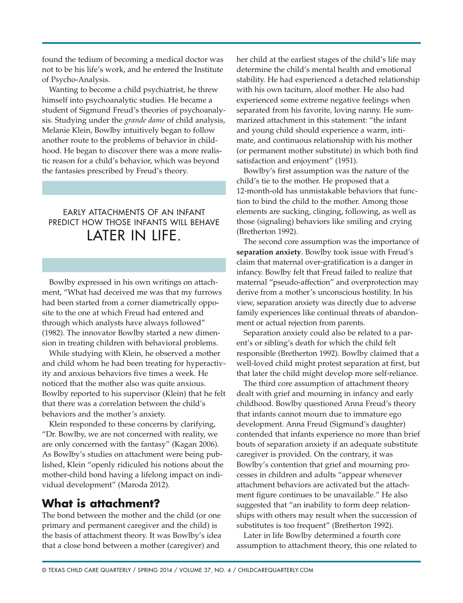found the tedium of becoming a medical doctor was not to be his life's work, and he entered the Institute of Psycho-Analysis.

Wanting to become a child psychiatrist, he threw himself into psychoanalytic studies. He became a student of Sigmund Freud's theories of psychoanalysis. Studying under the *grande dame* of child analysis, Melanie Klein, Bowlby intuitively began to follow another route to the problems of behavior in childhood. He began to discover there was a more realistic reason for a child's behavior, which was beyond the fantasies prescribed by Freud's theory.

### EARLY ATTACHMENTS OF AN INFANT predict how those infants will behave later in life.

Bowlby expressed in his own writings on attachment, "What had deceived me was that my furrows had been started from a corner diametrically opposite to the one at which Freud had entered and through which analysts have always followed" (1982). The innovator Bowlby started a new dimension in treating children with behavioral problems.

While studying with Klein, he observed a mother and child whom he had been treating for hyperactivity and anxious behaviors five times a week. He noticed that the mother also was quite anxious. Bowlby reported to his supervisor (Klein) that he felt that there was a correlation between the child's behaviors and the mother's anxiety.

Klein responded to these concerns by clarifying, "Dr. Bowlby, we are not concerned with reality, we are only concerned with the fantasy" (Kagan 2006). As Bowlby's studies on attachment were being published, Klein "openly ridiculed his notions about the mother-child bond having a lifelong impact on individual development" (Maroda 2012).

# **What is attachment?**

The bond between the mother and the child (or one primary and permanent caregiver and the child) is the basis of attachment theory. It was Bowlby's idea that a close bond between a mother (caregiver) and

her child at the earliest stages of the child's life may determine the child's mental health and emotional stability. He had experienced a detached relationship with his own taciturn, aloof mother. He also had experienced some extreme negative feelings when separated from his favorite, loving nanny. He summarized attachment in this statement: "the infant and young child should experience a warm, intimate, and continuous relationship with his mother (or permanent mother substitute) in which both find satisfaction and enjoyment" (1951).

Bowlby's first assumption was the nature of the child's tie to the mother. He proposed that a 12-month-old has unmistakable behaviors that function to bind the child to the mother. Among those elements are sucking, clinging, following, as well as those (signaling) behaviors like smiling and crying (Bretherton 1992).

The second core assumption was the importance of **separation anxiety**. Bowlby took issue with Freud's claim that maternal over-gratification is a danger in infancy. Bowlby felt that Freud failed to realize that maternal "pseudo-affection" and overprotection may derive from a mother's unconscious hostility. In his view, separation anxiety was directly due to adverse family experiences like continual threats of abandonment or actual rejection from parents.

Separation anxiety could also be related to a parent's or sibling's death for which the child felt responsible (Bretherton 1992). Bowlby claimed that a well-loved child might protest separation at first, but that later the child might develop more self-reliance.

The third core assumption of attachment theory dealt with grief and mourning in infancy and early childhood. Bowlby questioned Anna Freud's theory that infants cannot mourn due to immature ego development. Anna Freud (Sigmund's daughter) contended that infants experience no more than brief bouts of separation anxiety if an adequate substitute caregiver is provided. On the contrary, it was Bowlby's contention that grief and mourning processes in children and adults "appear whenever attachment behaviors are activated but the attachment figure continues to be unavailable." He also suggested that "an inability to form deep relationships with others may result when the succession of substitutes is too frequent" (Bretherton 1992).

Later in life Bowlby determined a fourth core assumption to attachment theory, this one related to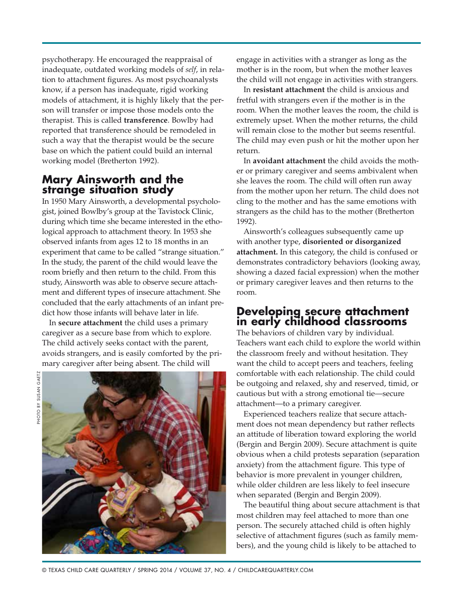psychotherapy. He encouraged the reappraisal of inadequate, outdated working models of *self*, in relation to attachment figures. As most psychoanalysts know, if a person has inadequate, rigid working models of attachment, it is highly likely that the person will transfer or impose those models onto the therapist. This is called **transference**. Bowlby had reported that transference should be remodeled in such a way that the therapist would be the secure base on which the patient could build an internal working model (Bretherton 1992).

## **Mary Ainsworth and the strange situation study**

In 1950 Mary Ainsworth, a developmental psychologist, joined Bowlby's group at the Tavistock Clinic, during which time she became interested in the ethological approach to attachment theory. In 1953 she observed infants from ages 12 to 18 months in an experiment that came to be called "strange situation." In the study, the parent of the child would leave the room briefly and then return to the child. From this study, Ainsworth was able to observe secure attachment and different types of insecure attachment. She concluded that the early attachments of an infant predict how those infants will behave later in life.

In **secure attachment** the child uses a primary caregiver as a secure base from which to explore. The child actively seeks contact with the parent, avoids strangers, and is easily comforted by the primary caregiver after being absent. The child will





engage in activities with a stranger as long as the mother is in the room, but when the mother leaves the child will not engage in activities with strangers.

In **resistant attachment** the child is anxious and fretful with strangers even if the mother is in the room. When the mother leaves the room, the child is extremely upset. When the mother returns, the child will remain close to the mother but seems resentful. The child may even push or hit the mother upon her return.

In **avoidant attachment** the child avoids the mother or primary caregiver and seems ambivalent when she leaves the room. The child will often run away from the mother upon her return. The child does not cling to the mother and has the same emotions with strangers as the child has to the mother (Bretherton 1992).

Ainsworth's colleagues subsequently came up with another type, **disoriented or disorganized attachment.** In this category, the child is confused or demonstrates contradictory behaviors (looking away, showing a dazed facial expression) when the mother or primary caregiver leaves and then returns to the room.

#### **Developing secure attachment in early childhood classrooms**

The behaviors of children vary by individual. Teachers want each child to explore the world within the classroom freely and without hesitation. They want the child to accept peers and teachers, feeling comfortable with each relationship. The child could be outgoing and relaxed, shy and reserved, timid, or cautious but with a strong emotional tie—secure attachment—to a primary caregiver.

Experienced teachers realize that secure attachment does not mean dependency but rather reflects an attitude of liberation toward exploring the world (Bergin and Bergin 2009). Secure attachment is quite obvious when a child protests separation (separation anxiety) from the attachment figure. This type of behavior is more prevalent in younger children, while older children are less likely to feel insecure when separated (Bergin and Bergin 2009).

The beautiful thing about secure attachment is that most children may feel attached to more than one person. The securely attached child is often highly selective of attachment figures (such as family members), and the young child is likely to be attached to